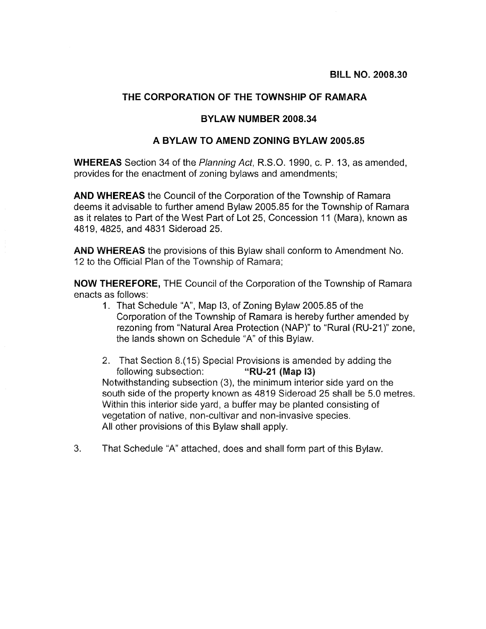## THE CORPORATION OF THE TOWNSHIP OF RAMARA

## **BYLAW NUMBER 2008.34**

## A BYLAW TO AMEND ZONING BYLAW 2005 85

**WHEREAS** Section 34 of the Planning Act. R.S.O. 1990, c. P. 13, as amended. provides for the enactment of zoning bylaws and amendments;

**AND WHEREAS** the Council of the Corporation of the Township of Ramara deems it advisable to further amend Bylaw 2005.85 for the Township of Ramara as it relates to Part of the West Part of Lot 25, Concession 11 (Mara), known as 4819, 4825, and 4831 Sideroad 25.

**AND WHEREAS** the provisions of this Bylaw shall conform to Amendment No. 12 to the Official Plan of the Township of Ramara;

NOW THEREFORE, THE Council of the Corporation of the Township of Ramara enacts as follows:

- 1. That Schedule "A", Map 13, of Zoning Bylaw 2005.85 of the Corporation of the Township of Ramara is hereby further amended by rezoning from "Natural Area Protection (NAP)" to "Rural (RU-21)" zone, the lands shown on Schedule "A" of this Bylaw.
- 2. That Section 8.(15) Special Provisions is amended by adding the following subsection: "RU-21 (Map I3) Notwithstanding subsection (3), the minimum interior side vard on the south side of the property known as 4819 Sideroad 25 shall be 5.0 metres. Within this interior side vard, a buffer may be planted consisting of vegetation of native, non-cultivar and non-invasive species. All other provisions of this Bylaw shall apply.
- $3<sub>1</sub>$ That Schedule "A" attached, does and shall form part of this Bylaw.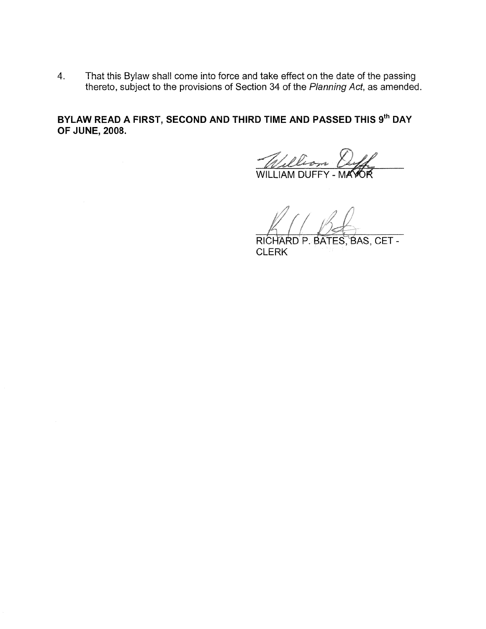That this Bylaw shall come into force and take effect on the date of the passing  $4.$ thereto, subject to the provisions of Section 34 of the Planning Act, as amended.

BYLAW READ A FIRST, SECOND AND THIRD TIME AND PASSED THIS 9th DAY **OF JUNE, 2008.** 

William Duff

RICHARD P. BATES, BAS, CET -**CLERK**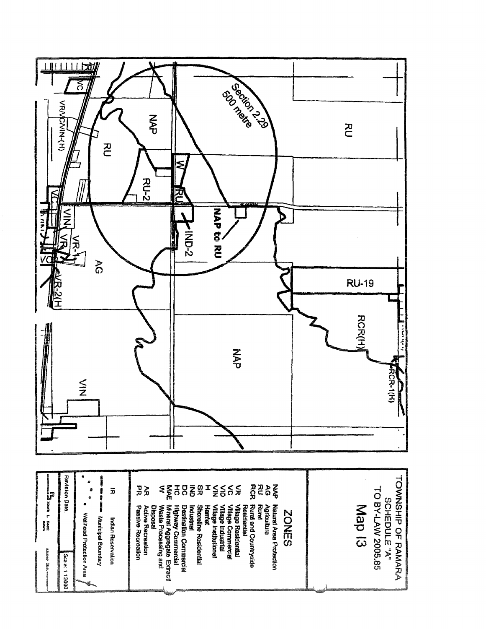